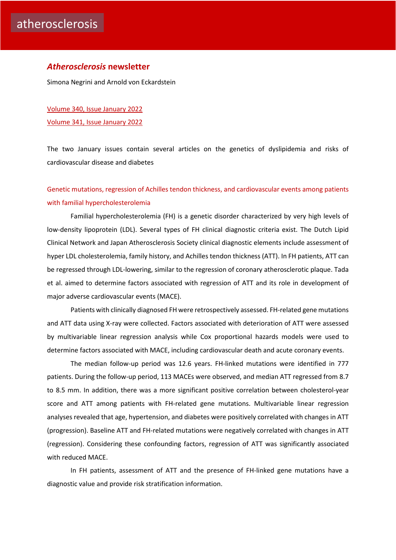#### *Atherosclerosis* **newsletter**

Simona Negrini and Arnold von Eckardstein

[Volume 340, Issue January](https://www.atherosclerosis-journal.com/issue/S0021-9150(21)X0023-8) 2022 [Volume 341, Issue January](https://www.atherosclerosis-journal.com/issue/S0021-9150(21)X0024-X) 2022

The two January issues contain several articles on the genetics of dyslipidemia and risks of cardiovascular disease and diabetes

# [Genetic mutations, regression of Achilles tendon thickness, and cardiovascular events among patients](https://click.notification.elsevier.com/CL0/https:%2F%2Fwww.atherosclerosis-journal.com%2Farticle%2FS0021-9150(21)01471-4%2Ffulltext%3Fdgcid=raven_jbs_etoc_email/1/0100017ddfe45b4a-182234cd-ada3-4c00-9903-8586ddce6670-000000/czc8HxMAi02bKTayvt7XL5IyIa6Jgz9FxvBGRobSb_g=228)  [with familial hypercholesterolemia](https://click.notification.elsevier.com/CL0/https:%2F%2Fwww.atherosclerosis-journal.com%2Farticle%2FS0021-9150(21)01471-4%2Ffulltext%3Fdgcid=raven_jbs_etoc_email/1/0100017ddfe45b4a-182234cd-ada3-4c00-9903-8586ddce6670-000000/czc8HxMAi02bKTayvt7XL5IyIa6Jgz9FxvBGRobSb_g=228)

Familial hypercholesterolemia (FH) is a genetic disorder characterized by very high levels of low-density lipoprotein (LDL). Several types of FH clinical diagnostic criteria exist. The Dutch Lipid Clinical Network and Japan Atherosclerosis Society clinical diagnostic elements include assessment of hyper LDL cholesterolemia, family history, and Achilles tendon thickness (ATT). In FH patients, ATT can be regressed through LDL-lowering, similar to the regression of coronary atherosclerotic plaque. Tada et al. aimed to determine factors associated with regression of ATT and its role in development of major adverse cardiovascular events (MACE).

Patients with clinically diagnosed FH were retrospectively assessed. FH-related gene mutations and ATT data using X-ray were collected. Factors associated with deterioration of ATT were assessed by multivariable linear regression analysis while Cox proportional hazards models were used to determine factors associated with MACE, including cardiovascular death and acute coronary events.

The median follow-up period was 12.6 years. FH-linked mutations were identified in 777 patients. During the follow-up period, 113 MACEs were observed, and median ATT regressed from 8.7 to 8.5 mm. In addition, there was a more significant positive correlation between cholesterol-year score and ATT among patients with FH-related gene mutations. Multivariable linear regression analyses revealed that age, hypertension, and diabetes were positively correlated with changes in ATT (progression). Baseline ATT and FH-related mutations were negatively correlated with changes in ATT (regression). Considering these confounding factors, regression of ATT was significantly associated with reduced MACE.

In FH patients, assessment of ATT and the presence of FH-linked gene mutations have a diagnostic value and provide risk stratification information.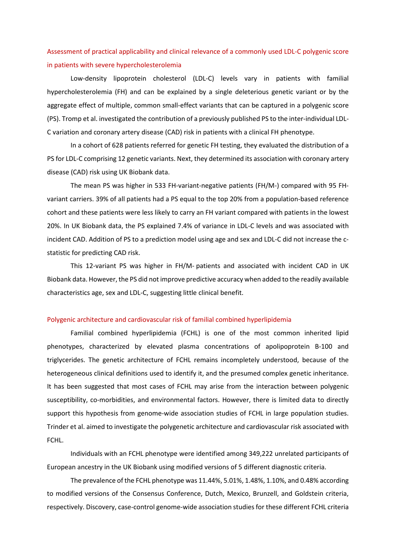## [Assessment of practical applicability and clinical relevance of a commonly used LDL-C polygenic score](https://click.notification.elsevier.com/CL0/https:%2F%2Fwww.atherosclerosis-journal.com%2Farticle%2FS0021-9150(21)01413-1%2Ffulltext%3Fdgcid=raven_jbs_etoc_email/1/0100017ddfe45b4a-182234cd-ada3-4c00-9903-8586ddce6670-000000/nyhKNT9uglFMUaEgo9lKcwKGFxmL5ulq1mnvqh7LXMk=228)  [in patients with severe hypercholesterolemia](https://click.notification.elsevier.com/CL0/https:%2F%2Fwww.atherosclerosis-journal.com%2Farticle%2FS0021-9150(21)01413-1%2Ffulltext%3Fdgcid=raven_jbs_etoc_email/1/0100017ddfe45b4a-182234cd-ada3-4c00-9903-8586ddce6670-000000/nyhKNT9uglFMUaEgo9lKcwKGFxmL5ulq1mnvqh7LXMk=228)

Low-density lipoprotein cholesterol (LDL-C) levels vary in patients with familial hypercholesterolemia (FH) and can be explained by a single deleterious genetic variant or by the aggregate effect of multiple, common small-effect variants that can be captured in a polygenic score (PS). Tromp et al. investigated the contribution of a previously published PS to the inter-individual LDL-C variation and coronary artery disease (CAD) risk in patients with a clinical FH phenotype.

In a cohort of 628 patients referred for genetic FH testing, they evaluated the distribution of a PS for LDL-C comprising 12 genetic variants. Next, they determined its association with coronary artery disease (CAD) risk using UK Biobank data.

The mean PS was higher in 533 FH-variant-negative patients (FH/M-) compared with 95 FHvariant carriers. 39% of all patients had a PS equal to the top 20% from a population-based reference cohort and these patients were less likely to carry an FH variant compared with patients in the lowest 20%. In UK Biobank data, the PS explained 7.4% of variance in LDL-C levels and was associated with incident CAD. Addition of PS to a prediction model using age and sex and LDL-C did not increase the cstatistic for predicting CAD risk.

This 12-variant PS was higher in FH/M- patients and associated with incident CAD in UK Biobank data. However, the PS did not improve predictive accuracy when added to the readily available characteristics age, sex and LDL-C, suggesting little clinical benefit.

#### [Polygenic architecture and cardiovascular risk of familial combined hyperlipidemia](https://click.notification.elsevier.com/CL0/https:%2F%2Fwww.atherosclerosis-journal.com%2Farticle%2FS0021-9150(21)01472-6%2Ffulltext%3Fdgcid=raven_jbs_etoc_email/1/0100017ddfe45b4a-182234cd-ada3-4c00-9903-8586ddce6670-000000/-gJaWMzYh_HxVvJs1ckbafZM8DppuMmPuHUAo3orgzI=228)

Familial combined hyperlipidemia (FCHL) is one of the most common inherited lipid phenotypes, characterized by elevated plasma concentrations of apolipoprotein B-100 and triglycerides. The genetic architecture of FCHL remains incompletely understood, because of the heterogeneous clinical definitions used to identify it, and the presumed complex genetic inheritance. It has been suggested that most cases of FCHL may arise from the interaction between polygenic susceptibility, co-morbidities, and environmental factors. However, there is limited data to directly support this hypothesis from genome-wide association studies of FCHL in large population studies. Trinder et al. aimed to investigate the polygenetic architecture and cardiovascular risk associated with FCHL.

Individuals with an FCHL phenotype were identified among 349,222 unrelated participants of European ancestry in the UK Biobank using modified versions of 5 different diagnostic criteria.

The prevalence of the FCHL phenotype was 11.44%, 5.01%, 1.48%, 1.10%, and 0.48% according to modified versions of the Consensus Conference, Dutch, Mexico, Brunzell, and Goldstein criteria, respectively. Discovery, case-control genome-wide association studies for these different FCHL criteria